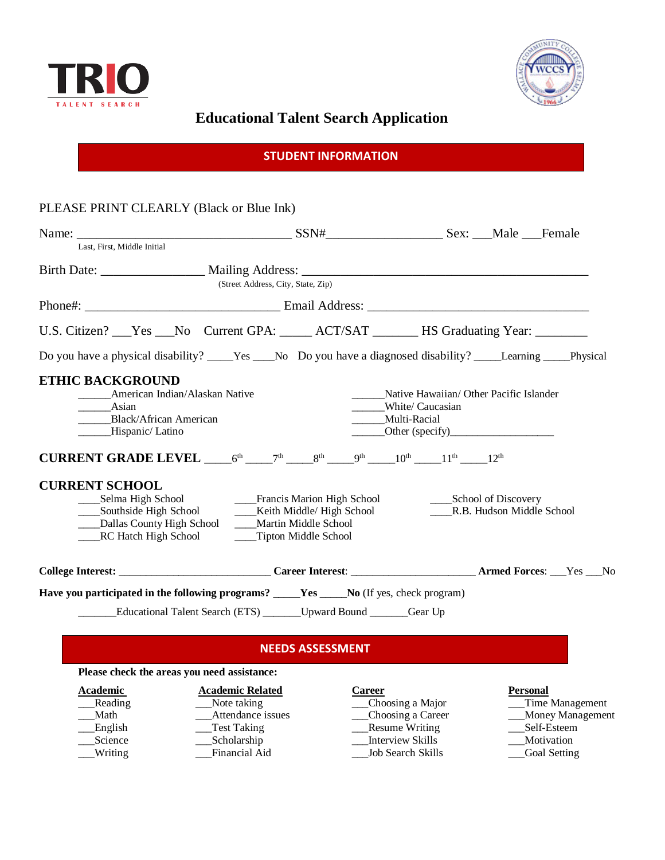



## **Educational Talent Search Application**

|  | <b>STUDENT INFORMATION</b> |  |  |
|--|----------------------------|--|--|
|  |                            |  |  |
|  |                            |  |  |

## PLEASE PRINT CLEARLY (Black or Blue Ink)

| Last, First, Middle Initial                                                                                                                          |                                                                                                                                                                                                                                                         |                                                                                                                                                                             |                           |  |
|------------------------------------------------------------------------------------------------------------------------------------------------------|---------------------------------------------------------------------------------------------------------------------------------------------------------------------------------------------------------------------------------------------------------|-----------------------------------------------------------------------------------------------------------------------------------------------------------------------------|---------------------------|--|
|                                                                                                                                                      | (Street Address, City, State, Zip)                                                                                                                                                                                                                      |                                                                                                                                                                             |                           |  |
|                                                                                                                                                      |                                                                                                                                                                                                                                                         |                                                                                                                                                                             |                           |  |
|                                                                                                                                                      | U.S. Citizen? __Yes __No Current GPA: _____ ACT/SAT _______ HS Graduating Year: _______                                                                                                                                                                 |                                                                                                                                                                             |                           |  |
|                                                                                                                                                      |                                                                                                                                                                                                                                                         |                                                                                                                                                                             |                           |  |
| <b>ETHIC BACKGROUND</b><br>American Indian/Alaskan Native<br>Asian<br><b>Black/African American</b><br>_____Hispanic/Latino<br><b>CURRENT SCHOOL</b> | <b>CURRENT GRADE LEVEL</b> $6^{th}$ $7^{th}$ $8^{th}$ $9^{th}$ $10^{th}$ $11^{th}$ $11^{th}$<br>Southside High School Keith Middle/ High School<br>____Dallas County High School _____Martin Middle School<br>RC Hatch High School Tipton Middle School | Native Hawaiian/ Other Pacific Islander<br>White/ Caucasian<br>Multi-Racial<br>$\qquad \qquad \text{Other (specify)} \qquad \qquad \text{Other} \qquad \qquad \text{other}$ | R.B. Hudson Middle School |  |
|                                                                                                                                                      |                                                                                                                                                                                                                                                         |                                                                                                                                                                             |                           |  |
|                                                                                                                                                      | <b>Have you participated in the following programs?</b> Nes No (If yes, check program)                                                                                                                                                                  |                                                                                                                                                                             |                           |  |
|                                                                                                                                                      | <b>Educational Talent Search (ETS)</b> ________Upward Bound _______Gear Up                                                                                                                                                                              |                                                                                                                                                                             |                           |  |
|                                                                                                                                                      | <b>NEEDS ASSESSMENT</b>                                                                                                                                                                                                                                 |                                                                                                                                                                             |                           |  |

## **Please check the areas you need assistance:**

| Academic | <b>Academic Related</b> | Career                   | <b>Personal</b>    |
|----------|-------------------------|--------------------------|--------------------|
| Reading  | Note taking             | __Choosing a Major       | Time Management    |
| Math     | Attendance issues       | __Choosing a Career      | __Money Management |
| English  | _Test Taking            | <b>Resume Writing</b>    | Self-Esteem        |
| Science  | Scholarship             | Interview Skills         | Motivation         |
| Writing  | Financial Aid           | <b>Job Search Skills</b> | Goal Setting       |